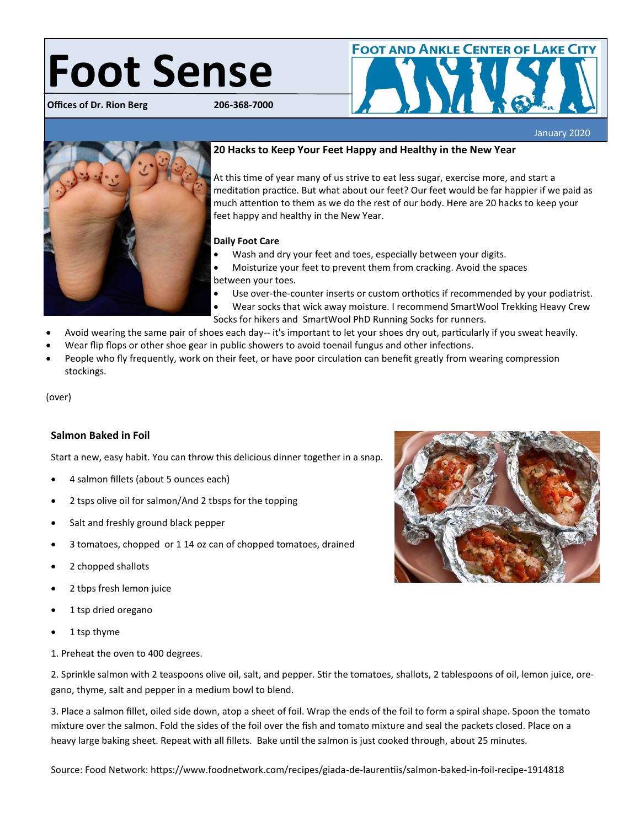# **Foot Sense**

**Offices of Dr. Rion Berg 206-368-7000**



January 2020



# **20 Hacks to Keep Your Feet Happy and Healthy in the New Year**

At this time of year many of us strive to eat less sugar, exercise more, and start a meditation practice. But what about our feet? Our feet would be far happier if we paid as much attention to them as we do the rest of our body. Here are 20 hacks to keep your feet happy and healthy in the New Year.

#### **Daily Foot Care**

- Wash and dry your feet and toes, especially between your digits.
- Moisturize your feet to prevent them from cracking. Avoid the spaces between your toes.
- Use over-the-counter inserts or custom orthotics if recommended by your podiatrist.
- Wear socks that wick away moisture. I recommend SmartWool Trekking Heavy Crew Socks for hikers and SmartWool PhD Running Socks for runners.
- Avoid wearing the same pair of shoes each day-- it's important to let your shoes dry out, particularly if you sweat heavily.
- Wear flip flops or other shoe gear in public showers to avoid toenail fungus and other infections.
- People who fly frequently, work on their feet, or have poor circulation can benefit greatly from wearing compression stockings.

#### (over)

## **Salmon Baked in Foil**

Start a new, easy habit. You can throw this delicious dinner together in a snap.

- 4 salmon fillets (about 5 ounces each)
- 2 tsps olive oil for salmon/And 2 tbsps for the topping
- Salt and freshly ground black pepper
- 3 tomatoes, chopped or 1 14 oz can of chopped tomatoes, drained
- 2 chopped shallots
- 2 tbps fresh lemon juice
- 1 tsp dried oregano
- 1 tsp thyme

1. Preheat the oven to 400 degrees.

2. Sprinkle salmon with 2 teaspoons olive oil, salt, and pepper. Stir the tomatoes, shallots, 2 tablespoons of oil, lemon juice, oregano, thyme, salt and pepper in a medium bowl to blend.

3. Place a salmon fillet, oiled side down, atop a sheet of foil. Wrap the ends of the foil to form a spiral shape. Spoon the tomato mixture over the salmon. Fold the sides of the foil over the fish and tomato mixture and seal the packets closed. Place on a heavy large baking sheet. Repeat with all fillets. Bake until the salmon is just cooked through, about 25 minutes.

Source: Food Network: https://www.foodnetwork.com/recipes/giada-de-laurentiis/salmon-baked-in-foil-recipe-1914818